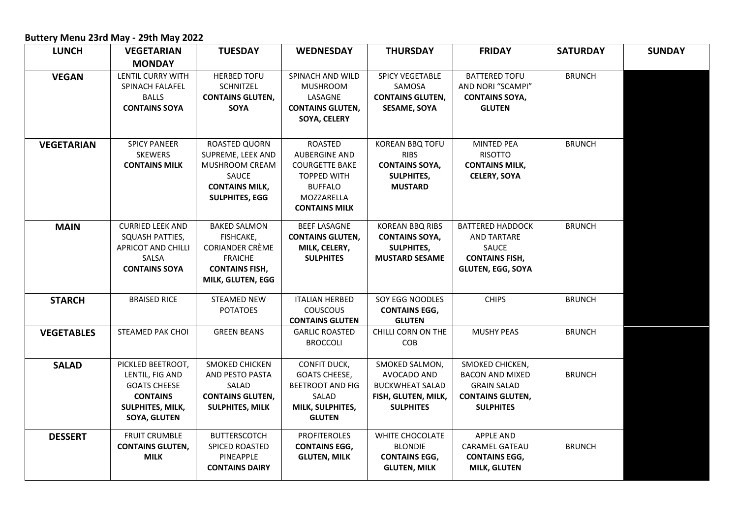## **Buttery Menu 23rd May - 29th May 2022**

| <b>LUNCH</b>      | <b>VEGETARIAN</b>                                                                                                         | <b>TUESDAY</b>                                                                                                             | <b>WEDNESDAY</b>                                                                                                                              | <b>THURSDAY</b>                                                                                    | <b>FRIDAY</b>                                                                                                  | <b>SATURDAY</b> | <b>SUNDAY</b> |
|-------------------|---------------------------------------------------------------------------------------------------------------------------|----------------------------------------------------------------------------------------------------------------------------|-----------------------------------------------------------------------------------------------------------------------------------------------|----------------------------------------------------------------------------------------------------|----------------------------------------------------------------------------------------------------------------|-----------------|---------------|
|                   | <b>MONDAY</b>                                                                                                             |                                                                                                                            |                                                                                                                                               |                                                                                                    |                                                                                                                |                 |               |
| <b>VEGAN</b>      | <b>LENTIL CURRY WITH</b><br>SPINACH FALAFEL<br><b>BALLS</b><br><b>CONTAINS SOYA</b>                                       | <b>HERBED TOFU</b><br><b>SCHNITZEL</b><br><b>CONTAINS GLUTEN,</b><br>SOYA                                                  | SPINACH AND WILD<br><b>MUSHROOM</b><br>LASAGNE<br><b>CONTAINS GLUTEN,</b><br>SOYA, CELERY                                                     | <b>SPICY VEGETABLE</b><br>SAMOSA<br><b>CONTAINS GLUTEN,</b><br><b>SESAME, SOYA</b>                 | <b>BATTERED TOFU</b><br>AND NORI "SCAMPI"<br><b>CONTAINS SOYA,</b><br><b>GLUTEN</b>                            | <b>BRUNCH</b>   |               |
| <b>VEGETARIAN</b> | <b>SPICY PANEER</b><br><b>SKEWERS</b><br><b>CONTAINS MILK</b>                                                             | ROASTED QUORN<br>SUPREME, LEEK AND<br>MUSHROOM CREAM<br>SAUCE<br><b>CONTAINS MILK,</b><br><b>SULPHITES, EGG</b>            | <b>ROASTED</b><br><b>AUBERGINE AND</b><br><b>COURGETTE BAKE</b><br><b>TOPPED WITH</b><br><b>BUFFALO</b><br>MOZZARELLA<br><b>CONTAINS MILK</b> | KOREAN BBQ TOFU<br><b>RIBS</b><br><b>CONTAINS SOYA,</b><br><b>SULPHITES,</b><br><b>MUSTARD</b>     | <b>MINTED PEA</b><br><b>RISOTTO</b><br><b>CONTAINS MILK,</b><br><b>CELERY, SOYA</b>                            | <b>BRUNCH</b>   |               |
| <b>MAIN</b>       | <b>CURRIED LEEK AND</b><br>SQUASH PATTIES,<br><b>APRICOT AND CHILLI</b><br>SALSA<br><b>CONTAINS SOYA</b>                  | <b>BAKED SALMON</b><br>FISHCAKE,<br><b>CORIANDER CRÈME</b><br><b>FRAICHE</b><br><b>CONTAINS FISH,</b><br>MILK, GLUTEN, EGG | <b>BEEF LASAGNE</b><br><b>CONTAINS GLUTEN,</b><br>MILK, CELERY,<br><b>SULPHITES</b>                                                           | <b>KOREAN BBQ RIBS</b><br><b>CONTAINS SOYA,</b><br><b>SULPHITES,</b><br><b>MUSTARD SESAME</b>      | <b>BATTERED HADDOCK</b><br><b>AND TARTARE</b><br>SAUCE<br><b>CONTAINS FISH,</b><br><b>GLUTEN, EGG, SOYA</b>    | <b>BRUNCH</b>   |               |
| <b>STARCH</b>     | <b>BRAISED RICE</b>                                                                                                       | <b>STEAMED NEW</b><br><b>POTATOES</b>                                                                                      | <b>ITALIAN HERBED</b><br><b>COUSCOUS</b><br><b>CONTAINS GLUTEN</b>                                                                            | SOY EGG NOODLES<br><b>CONTAINS EGG,</b><br><b>GLUTEN</b>                                           | <b>CHIPS</b>                                                                                                   | <b>BRUNCH</b>   |               |
| <b>VEGETABLES</b> | <b>STEAMED PAK CHOI</b>                                                                                                   | <b>GREEN BEANS</b>                                                                                                         | <b>GARLIC ROASTED</b><br><b>BROCCOLI</b>                                                                                                      | CHILLI CORN ON THE<br>COB                                                                          | <b>MUSHY PEAS</b>                                                                                              | <b>BRUNCH</b>   |               |
| <b>SALAD</b>      | PICKLED BEETROOT,<br>LENTIL, FIG AND<br><b>GOATS CHEESE</b><br><b>CONTAINS</b><br>SULPHITES, MILK,<br><b>SOYA, GLUTEN</b> | SMOKED CHICKEN<br>AND PESTO PASTA<br>SALAD<br><b>CONTAINS GLUTEN,</b><br><b>SULPHITES, MILK</b>                            | CONFIT DUCK,<br><b>GOATS CHEESE,</b><br><b>BEETROOT AND FIG</b><br>SALAD<br>MILK, SULPHITES,<br><b>GLUTEN</b>                                 | SMOKED SALMON,<br>AVOCADO AND<br><b>BUCKWHEAT SALAD</b><br>FISH, GLUTEN, MILK,<br><b>SULPHITES</b> | SMOKED CHICKEN,<br><b>BACON AND MIXED</b><br><b>GRAIN SALAD</b><br><b>CONTAINS GLUTEN,</b><br><b>SULPHITES</b> | <b>BRUNCH</b>   |               |
| <b>DESSERT</b>    | <b>FRUIT CRUMBLE</b><br><b>CONTAINS GLUTEN,</b><br><b>MILK</b>                                                            | <b>BUTTERSCOTCH</b><br><b>SPICED ROASTED</b><br>PINEAPPLE<br><b>CONTAINS DAIRY</b>                                         | <b>PROFITEROLES</b><br><b>CONTAINS EGG,</b><br><b>GLUTEN, MILK</b>                                                                            | WHITE CHOCOLATE<br><b>BLONDIE</b><br><b>CONTAINS EGG,</b><br><b>GLUTEN, MILK</b>                   | <b>APPLE AND</b><br><b>CARAMEL GATEAU</b><br><b>CONTAINS EGG,</b><br>MILK, GLUTEN                              | <b>BRUNCH</b>   |               |